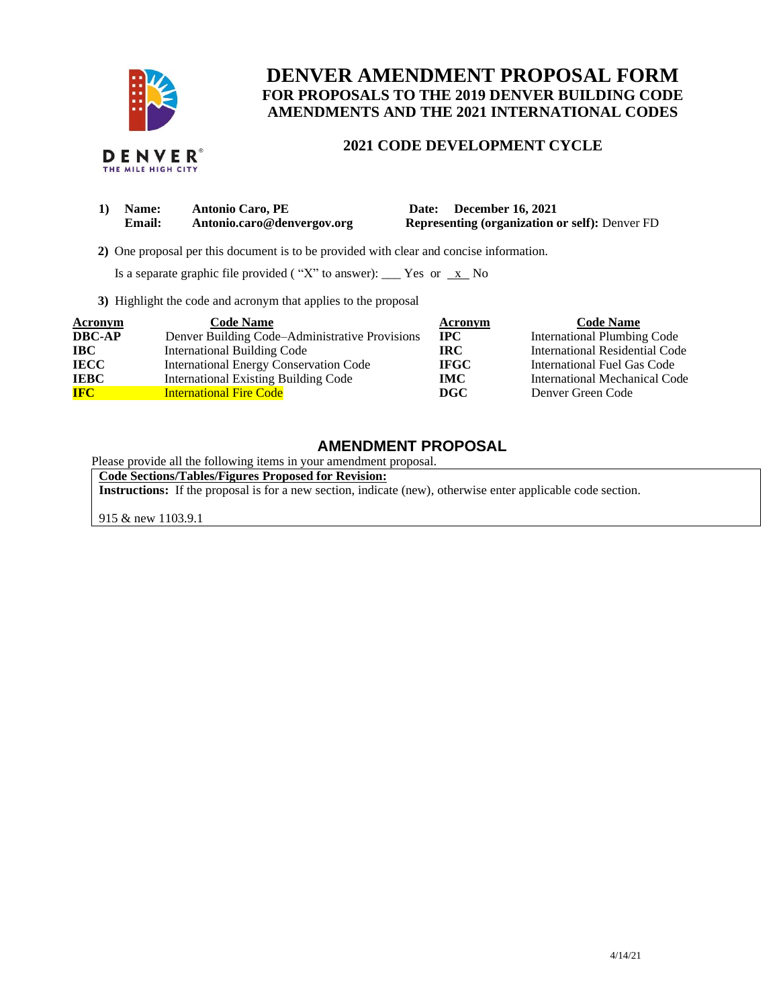

THE MILE HIGH CITY

# **DENVER AMENDMENT PROPOSAL FORM FOR PROPOSALS TO THE 2019 DENVER BUILDING CODE AMENDMENTS AND THE 2021 INTERNATIONAL CODES**

## **2021 CODE DEVELOPMENT CYCLE**

| 1) Name:      | <b>Antonio Caro, PE</b>    | Date: December 16, 2021                               |
|---------------|----------------------------|-------------------------------------------------------|
| <b>Email:</b> | Antonio.caro@denvergov.org | <b>Representing (organization or self): Denver FD</b> |

 **2)** One proposal per this document is to be provided with clear and concise information.

Is a separate graphic file provided ("X" to answer): \_\_\_ Yes or  $\overline{x}$  No

**3)** Highlight the code and acronym that applies to the proposal

| Acronym       | <b>Code Name</b>                               | Acronym      | <b>Code Name</b>                   |
|---------------|------------------------------------------------|--------------|------------------------------------|
| <b>DBC-AP</b> | Denver Building Code–Administrative Provisions | $_{\rm IPC}$ | <b>International Plumbing Code</b> |
| <b>IBC</b>    | International Building Code                    | IRC-         | International Residential Code     |
| <b>IECC</b>   | <b>International Energy Conservation Code</b>  | <b>IFGC</b>  | International Fuel Gas Code        |
| <b>IEBC</b>   | <b>International Existing Building Code</b>    | IMC.         | International Mechanical Code      |
| <b>IFC</b>    | <b>International Fire Code</b>                 | DGC          | Denver Green Code                  |

## **AMENDMENT PROPOSAL**

Please provide all the following items in your amendment proposal.

**Code Sections/Tables/Figures Proposed for Revision:**

**Instructions:** If the proposal is for a new section, indicate (new), otherwise enter applicable code section.

915 & new 1103.9.1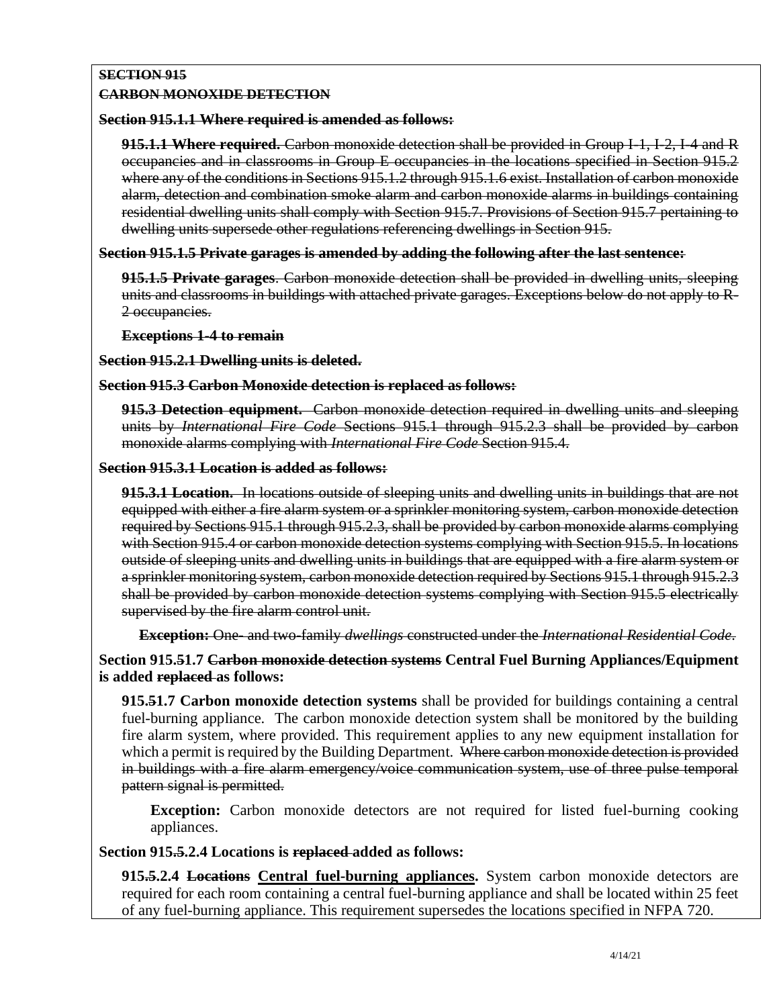# **SECTION 915**

## **CARBON MONOXIDE DETECTION**

### **Section 915.1.1 Where required is amended as follows:**

**915.1.1 Where required.** Carbon monoxide detection shall be provided in Group I-1, I-2, I-4 and R occupancies and in classrooms in Group E occupancies in the locations specified in Section 915.2 where any of the conditions in Sections 915.1.2 through 915.1.6 exist. Installation of carbon monoxide alarm, detection and combination smoke alarm and carbon monoxide alarms in buildings containing residential dwelling units shall comply with Section 915.7. Provisions of Section 915.7 pertaining to dwelling units supersede other regulations referencing dwellings in Section 915.

## **Section 915.1.5 Private garages is amended by adding the following after the last sentence:**

**915.1.5 Private garages**. Carbon monoxide detection shall be provided in dwelling units, sleeping units and classrooms in buildings with attached private garages. Exceptions below do not apply to R-2 occupancies.

#### **Exceptions 1-4 to remain**

**Section 915.2.1 Dwelling units is deleted.**

#### **Section 915.3 Carbon Monoxide detection is replaced as follows:**

**915.3 Detection equipment.** Carbon monoxide detection required in dwelling units and sleeping units by *International Fire Code* Sections 915.1 through 915.2.3 shall be provided by carbon monoxide alarms complying with *International Fire Code* Section 915.4.

### **Section 915.3.1 Location is added as follows:**

**915.3.1 Location.** In locations outside of sleeping units and dwelling units in buildings that are not equipped with either a fire alarm system or a sprinkler monitoring system, carbon monoxide detection required by Sections 915.1 through 915.2.3, shall be provided by carbon monoxide alarms complying with Section 915.4 or carbon monoxide detection systems complying with Section 915.5. In locations outside of sleeping units and dwelling units in buildings that are equipped with a fire alarm system or a sprinkler monitoring system, carbon monoxide detection required by Sections 915.1 through 915.2.3 shall be provided by carbon monoxide detection systems complying with Section 915.5 electrically supervised by the fire alarm control unit.

#### **Exception:** One- and two-family *dwellings* constructed under the *International Residential Code*.

**Section 915.51.7 Carbon monoxide detection systems Central Fuel Burning Appliances/Equipment is added replaced as follows:**

**915.51.7 Carbon monoxide detection systems** shall be provided for buildings containing a central fuel-burning appliance. The carbon monoxide detection system shall be monitored by the building fire alarm system, where provided. This requirement applies to any new equipment installation for which a permit is required by the Building Department. Where carbon monoxide detection is provided in buildings with a fire alarm emergency/voice communication system, use of three pulse temporal pattern signal is permitted.

**Exception:** Carbon monoxide detectors are not required for listed fuel-burning cooking appliances.

## **Section 915.5.2.4 Locations is replaced added as follows:**

**915.5.2.4 Locations Central fuel-burning appliances.** System carbon monoxide detectors are required for each room containing a central fuel-burning appliance and shall be located within 25 feet of any fuel-burning appliance. This requirement supersedes the locations specified in NFPA 720.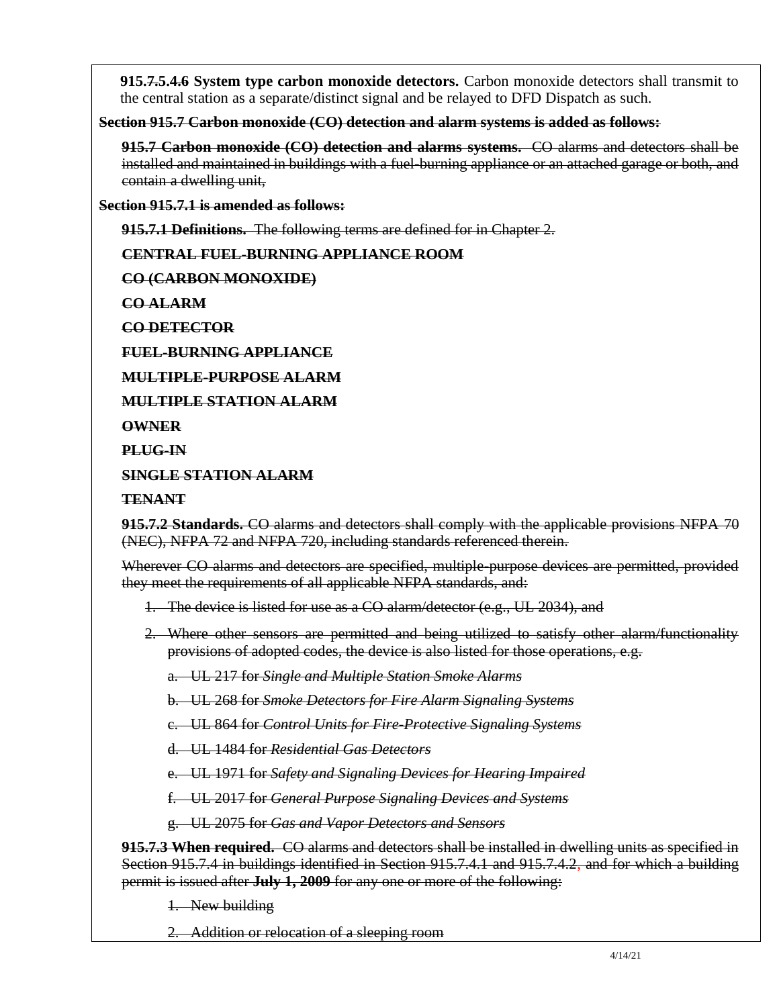**915.7.5.4.6 System type carbon monoxide detectors.** Carbon monoxide detectors shall transmit to the central station as a separate/distinct signal and be relayed to DFD Dispatch as such.

**Section 915.7 Carbon monoxide (CO) detection and alarm systems is added as follows:**

**915.7 Carbon monoxide (CO) detection and alarms systems.** CO alarms and detectors shall be installed and maintained in buildings with a fuel-burning appliance or an attached garage or both, and contain a dwelling unit,

**Section 915.7.1 is amended as follows:**

**915.7.1 Definitions.** The following terms are defined for in Chapter 2.

**CENTRAL FUEL-BURNING APPLIANCE ROOM**

**CO (CARBON MONOXIDE)**

**CO ALARM**

**CO DETECTOR**

**FUEL-BURNING APPLIANCE**

**MULTIPLE-PURPOSE ALARM**

**MULTIPLE STATION ALARM**

**OWNER**

**PLUG-IN**

**SINGLE STATION ALARM**

**TENANT**

**915.7.2 Standards.** CO alarms and detectors shall comply with the applicable provisions NFPA 70 (NEC), NFPA 72 and NFPA 720, including standards referenced therein.

Wherever CO alarms and detectors are specified, multiple-purpose devices are permitted, provided they meet the requirements of all applicable NFPA standards, and:

- 1. The device is listed for use as a CO alarm/detector (e.g., UL 2034), and
- 2. Where other sensors are permitted and being utilized to satisfy other alarm/functionality provisions of adopted codes, the device is also listed for those operations, e.g.

a. UL 217 for *Single and Multiple Station Smoke Alarms*

b. UL 268 for *Smoke Detectors for Fire Alarm Signaling Systems*

c. UL 864 for *Control Units for Fire-Protective Signaling Systems*

d. UL 1484 for *Residential Gas Detectors*

e. UL 1971 for *Safety and Signaling Devices for Hearing Impaired*

f. UL 2017 for *General Purpose Signaling Devices and Systems*

g. UL 2075 for *Gas and Vapor Detectors and Sensors*

**915.7.3 When required.** CO alarms and detectors shall be installed in dwelling units as specified in Section 915.7.4 in buildings identified in Section 915.7.4.1 and 915.7.4.2, and for which a building permit is issued after **July 1, 2009** for any one or more of the following:

1. New building

2. Addition or relocation of a sleeping room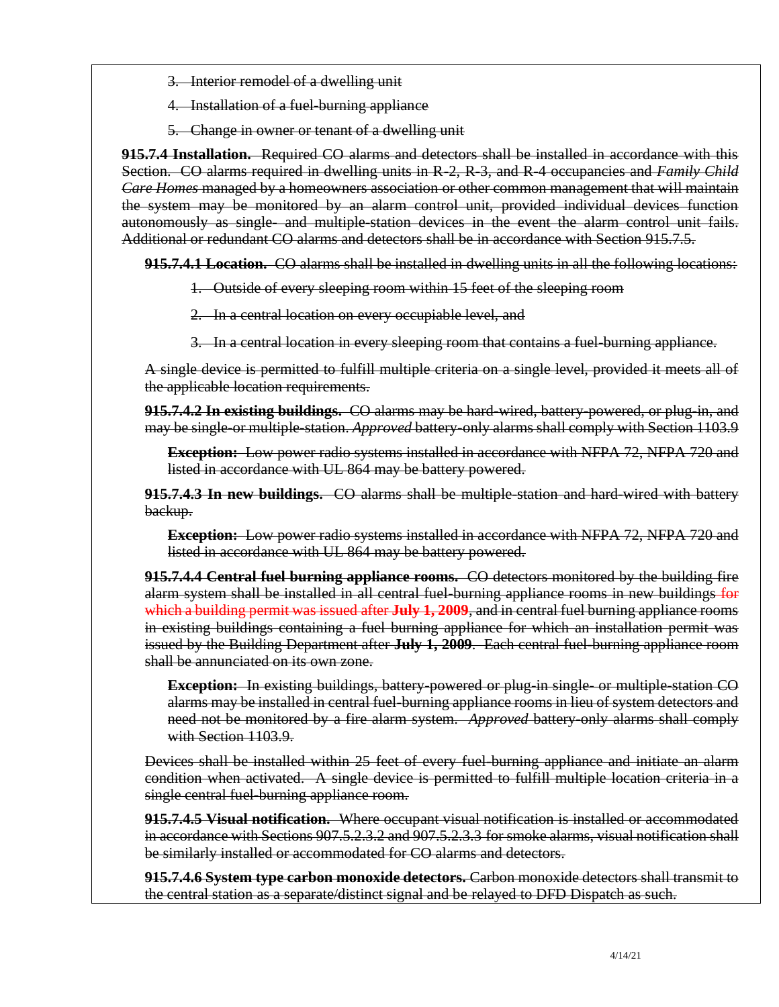- 3. Interior remodel of a dwelling unit
- 4. Installation of a fuel-burning appliance
- 5. Change in owner or tenant of a dwelling unit

**915.7.4 Installation.** Required CO alarms and detectors shall be installed in accordance with this Section. CO alarms required in dwelling units in R-2, R-3, and R-4 occupancies and *Family Child Care Homes* managed by a homeowners association or other common management that will maintain the system may be monitored by an alarm control unit, provided individual devices function autonomously as single- and multiple-station devices in the event the alarm control unit fails. Additional or redundant CO alarms and detectors shall be in accordance with Section 915.7.5.

**915.7.4.1 Location.** CO alarms shall be installed in dwelling units in all the following locations:

- 1. Outside of every sleeping room within 15 feet of the sleeping room
- 2. In a central location on every occupiable level, and
- 3. In a central location in every sleeping room that contains a fuel-burning appliance.

A single device is permitted to fulfill multiple criteria on a single level, provided it meets all of the applicable location requirements.

**915.7.4.2 In existing buildings.** CO alarms may be hard-wired, battery-powered, or plug-in, and may be single-or multiple-station. *Approved* battery-only alarms shall comply with Section 1103.9

**Exception:** Low power radio systems installed in accordance with NFPA 72, NFPA 720 and listed in accordance with UL 864 may be battery powered.

**915.7.4.3 In new buildings.** CO alarms shall be multiple-station and hard-wired with battery backup.

**Exception:** Low power radio systems installed in accordance with NFPA 72, NFPA 720 and listed in accordance with UL 864 may be battery powered.

**915.7.4.4 Central fuel burning appliance rooms.** CO detectors monitored by the building fire alarm system shall be installed in all central fuel-burning appliance rooms in new buildings for which a building permit was issued after **July 1, 2009**, and in central fuel burning appliance rooms in existing buildings containing a fuel burning appliance for which an installation permit was issued by the Building Department after **July 1, 2009**. Each central fuel-burning appliance room shall be annunciated on its own zone.

**Exception:** In existing buildings, battery powered or plug in single- or multiple station CO alarms may be installed in central fuel-burning appliance rooms in lieu of system detectors and need not be monitored by a fire alarm system. *Approved* battery-only alarms shall comply with Section 1103.9.

Devices shall be installed within 25 feet of every fuel-burning appliance and initiate an alarm condition when activated. A single device is permitted to fulfill multiple location criteria in a single central fuel-burning appliance room.

**915.7.4.5 Visual notification.** Where occupant visual notification is installed or accommodated in accordance with Sections 907.5.2.3.2 and 907.5.2.3.3 for smoke alarms, visual notification shall be similarly installed or accommodated for CO alarms and detectors.

**915.7.4.6 System type carbon monoxide detectors.** Carbon monoxide detectors shall transmit to the central station as a separate/distinct signal and be relayed to DFD Dispatch as such.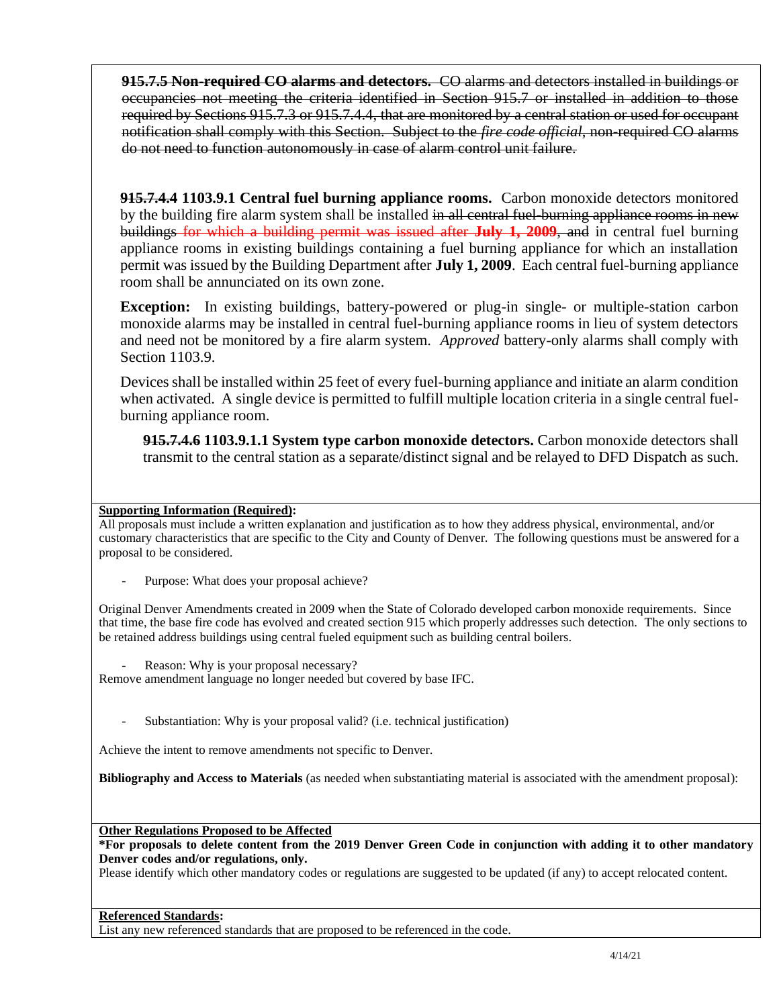**915.7.5 Non-required CO alarms and detectors.** CO alarms and detectors installed in buildings or occupancies not meeting the criteria identified in Section 915.7 or installed in addition to those required by Sections 915.7.3 or 915.7.4.4, that are monitored by a central station or used for occupant notification shall comply with this Section. Subject to the *fire code official*, non-required CO alarms do not need to function autonomously in case of alarm control unit failure.

**915.7.4.4 1103.9.1 Central fuel burning appliance rooms.** Carbon monoxide detectors monitored by the building fire alarm system shall be installed in all central fuel-burning appliance rooms in new buildings for which a building permit was issued after **July 1, 2009**, and in central fuel burning appliance rooms in existing buildings containing a fuel burning appliance for which an installation permit was issued by the Building Department after **July 1, 2009**. Each central fuel-burning appliance room shall be annunciated on its own zone.

**Exception:** In existing buildings, battery-powered or plug-in single- or multiple-station carbon monoxide alarms may be installed in central fuel-burning appliance rooms in lieu of system detectors and need not be monitored by a fire alarm system. *Approved* battery-only alarms shall comply with Section 1103.9.

Devices shall be installed within 25 feet of every fuel-burning appliance and initiate an alarm condition when activated. A single device is permitted to fulfill multiple location criteria in a single central fuelburning appliance room.

**915.7.4.6 1103.9.1.1 System type carbon monoxide detectors.** Carbon monoxide detectors shall transmit to the central station as a separate/distinct signal and be relayed to DFD Dispatch as such.

#### **Supporting Information (Required):**

All proposals must include a written explanation and justification as to how they address physical, environmental, and/or customary characteristics that are specific to the City and County of Denver. The following questions must be answered for a proposal to be considered.

Purpose: What does your proposal achieve?

Original Denver Amendments created in 2009 when the State of Colorado developed carbon monoxide requirements. Since that time, the base fire code has evolved and created section 915 which properly addresses such detection. The only sections to be retained address buildings using central fueled equipment such as building central boilers.

Reason: Why is your proposal necessary?

Remove amendment language no longer needed but covered by base IFC.

Substantiation: Why is your proposal valid? (i.e. technical justification)

Achieve the intent to remove amendments not specific to Denver.

**Bibliography and Access to Materials** (as needed when substantiating material is associated with the amendment proposal):

**Other Regulations Proposed to be Affected**

**\*For proposals to delete content from the 2019 Denver Green Code in conjunction with adding it to other mandatory Denver codes and/or regulations, only.**

Please identify which other mandatory codes or regulations are suggested to be updated (if any) to accept relocated content.

#### **Referenced Standards:**

List any new referenced standards that are proposed to be referenced in the code.